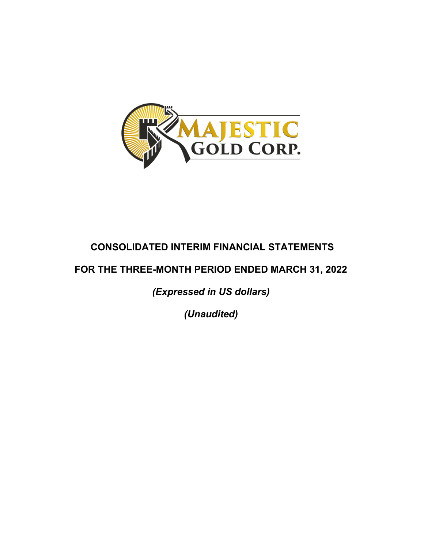

# **CONSOLIDATED INTERIM FINANCIAL STATEMENTS**

# **FOR THE THREE-MONTH PERIOD ENDED MARCH 31, 2022**

*(Expressed in US dollars)* 

*(Unaudited)*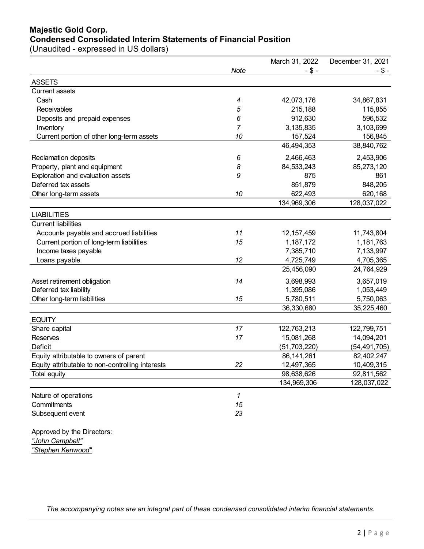# **Majestic Gold Corp. Condensed Consolidated Interim Statements of Financial Position**

(Unaudited - expressed in US dollars)

|                                                  |             | March 31, 2022 | December 31, 2021 |
|--------------------------------------------------|-------------|----------------|-------------------|
|                                                  | <b>Note</b> | $-$ \$ -       | $-$ \$ -          |
| <b>ASSETS</b>                                    |             |                |                   |
| <b>Current assets</b>                            |             |                |                   |
| Cash                                             | 4           | 42,073,176     | 34,867,831        |
| Receivables                                      | 5           | 215,188        | 115,855           |
| Deposits and prepaid expenses                    | 6           | 912,630        | 596,532           |
| Inventory                                        | 7           | 3,135,835      | 3,103,699         |
| Current portion of other long-term assets        | 10          | 157,524        | 156,845           |
|                                                  |             | 46,494,353     | 38,840,762        |
| Reclamation deposits                             | 6           | 2,466,463      | 2,453,906         |
| Property, plant and equipment                    | 8           | 84,533,243     | 85,273,120        |
| Exploration and evaluation assets                | 9           | 875            | 861               |
| Deferred tax assets                              |             | 851,879        | 848,205           |
| Other long-term assets                           | 10          | 622,493        | 620,168           |
|                                                  |             | 134,969,306    | 128,037,022       |
| <b>LIABILITIES</b>                               |             |                |                   |
| <b>Current liabilities</b>                       |             |                |                   |
| Accounts payable and accrued liabilities         | 11          | 12, 157, 459   | 11,743,804        |
| Current portion of long-term liabilities         | 15          | 1,187,172      | 1,181,763         |
| Income taxes payable                             |             | 7,385,710      | 7,133,997         |
| Loans payable                                    | 12          | 4,725,749      | 4,705,365         |
|                                                  |             | 25,456,090     | 24,764,929        |
| Asset retirement obligation                      | 14          | 3,698,993      | 3,657,019         |
| Deferred tax liability                           |             | 1,395,086      | 1,053,449         |
| Other long-term liabilities                      | 15          | 5,780,511      | 5,750,063         |
|                                                  |             | 36,330,680     | 35,225,460        |
| <b>EQUITY</b>                                    |             |                |                   |
| Share capital                                    | 17          | 122,763,213    | 122,799,751       |
| <b>Reserves</b>                                  | 17          | 15,081,268     | 14,094,201        |
| Deficit                                          |             | (51, 703, 220) | (54, 491, 705)    |
| Equity attributable to owners of parent          |             | 86, 141, 261   | 82,402,247        |
| Equity attributable to non-controlling interests | 22          | 12,497,365     | 10,409,315        |
| Total equity                                     |             | 98,638,626     | 92,811,562        |
|                                                  |             | 134,969,306    | 128,037,022       |
| Nature of operations                             | 1           |                |                   |
| Commitments                                      | 15          |                |                   |
| Subsequent event                                 | 23          |                |                   |
| Approved by the Directors:<br>"John Campbell"    |             |                |                   |

*"Stephen Kenwood"*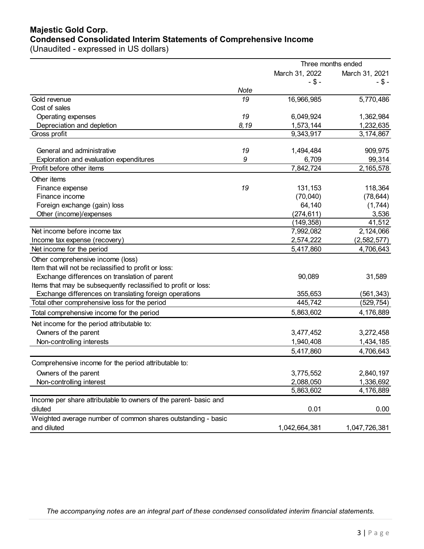# **Majestic Gold Corp. Condensed Consolidated Interim Statements of Comprehensive Income**

(Unaudited - expressed in US dollars)

|                                                                      | Three months ended |                |                   |  |  |
|----------------------------------------------------------------------|--------------------|----------------|-------------------|--|--|
|                                                                      |                    | March 31, 2022 | March 31, 2021    |  |  |
|                                                                      |                    | $-$ \$ -       | -\$-              |  |  |
|                                                                      | Note               |                |                   |  |  |
| Gold revenue                                                         | 19                 | 16,966,985     | 5,770,486         |  |  |
| Cost of sales                                                        |                    |                |                   |  |  |
| Operating expenses                                                   | 19                 | 6,049,924      | 1,362,984         |  |  |
| Depreciation and depletion                                           | 8,19               | 1,573,144      | 1,232,635         |  |  |
| Gross profit                                                         |                    | 9,343,917      | 3,174,867         |  |  |
| General and administrative                                           | 19                 | 1,494,484      |                   |  |  |
|                                                                      | 9                  | 6,709          | 909,975<br>99,314 |  |  |
| Exploration and evaluation expenditures<br>Profit before other items |                    | 7,842,724      | 2,165,578         |  |  |
|                                                                      |                    |                |                   |  |  |
| Other items                                                          |                    |                |                   |  |  |
| Finance expense                                                      | 19                 | 131,153        | 118,364           |  |  |
| Finance income                                                       |                    | (70,040)       | (78, 644)         |  |  |
| Foreign exchange (gain) loss                                         |                    | 64,140         | (1,744)           |  |  |
| Other (income)/expenses                                              |                    | (274, 611)     | 3,536             |  |  |
|                                                                      |                    | (149, 358)     | 41,512            |  |  |
| Net income before income tax                                         |                    | 7,992,082      | 2,124,066         |  |  |
| Income tax expense (recovery)                                        |                    | 2,574,222      | (2, 582, 577)     |  |  |
| Net income for the period                                            |                    | 5,417,860      | 4,706,643         |  |  |
| Other comprehensive income (loss)                                    |                    |                |                   |  |  |
| Item that will not be reclassified to profit or loss:                |                    |                |                   |  |  |
| Exchange differences on translation of parent                        |                    | 90,089         | 31,589            |  |  |
| Items that may be subsequently reclassified to profit or loss:       |                    |                |                   |  |  |
| Exchange differences on translating foreign operations               |                    | 355,653        | (561, 343)        |  |  |
| Total other comprehensive loss for the period                        |                    | 445,742        | (529,754)         |  |  |
| Total comprehensive income for the period                            |                    | 5,863,602      | 4,176,889         |  |  |
| Net income for the period attributable to:                           |                    |                |                   |  |  |
| Owners of the parent                                                 |                    | 3,477,452      | 3,272,458         |  |  |
| Non-controlling interests                                            |                    | 1,940,408      | 1,434,185         |  |  |
|                                                                      |                    | 5,417,860      | 4,706,643         |  |  |
| Comprehensive income for the period attributable to:                 |                    |                |                   |  |  |
| Owners of the parent                                                 |                    | 3,775,552      | 2,840,197         |  |  |
| Non-controlling interest                                             |                    | 2,088,050      | 1,336,692         |  |  |
|                                                                      |                    | 5,863,602      | 4,176,889         |  |  |
| Income per share attributable to owners of the parent- basic and     |                    |                |                   |  |  |
| diluted                                                              |                    | 0.01           | 0.00              |  |  |
| Weighted average number of common shares outstanding - basic         |                    |                |                   |  |  |
| and diluted                                                          |                    | 1,042,664,381  | 1,047,726,381     |  |  |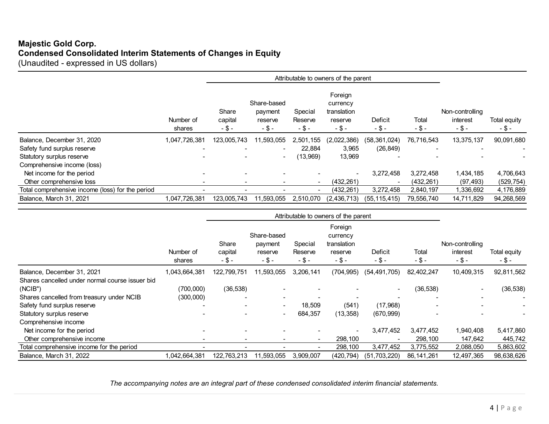# **Majestic Gold Corp. Condensed Consolidated Interim Statements of Changes in Equity** (Unaudited - expressed in US dollars)

|                                                  | Number of<br>shares | Share<br>capital<br>$-$ \$ – | Share-based<br>payment<br>reserve<br>-\$- | Special<br>Reserve<br>-\$- | Foreign<br>currency<br>translation<br>reserve<br>$-$ \$ - | Deficit<br>-\$- | Total<br>$-$ \$ -        | Non-controlling<br>interest<br>-\$- | Total equity<br>$-$ \$ - |
|--------------------------------------------------|---------------------|------------------------------|-------------------------------------------|----------------------------|-----------------------------------------------------------|-----------------|--------------------------|-------------------------------------|--------------------------|
| Balance, December 31, 2020                       | 1,047,726,381       | 123,005,743                  | 11,593,055                                | 2,501,155                  | (2,022,386)                                               | (58, 361, 024)  | 76,716,543               | 13,375,137                          | 90,091,680               |
| Safety fund surplus reserve                      | -                   | $\overline{\phantom{0}}$     | $\sim$                                    | 22.884                     | 3,965                                                     | (26, 849)       | $\overline{\phantom{0}}$ |                                     |                          |
| Statutory surplus reserve                        |                     |                              | $\sim$                                    | (13,969)                   | 13,969                                                    |                 |                          |                                     |                          |
| Comprehensive income (loss)                      |                     |                              |                                           |                            |                                                           |                 |                          |                                     |                          |
| Net income for the period                        |                     |                              |                                           |                            |                                                           | 3,272,458       | 3,272,458                | 1,434,185                           | 4,706,643                |
| Other comprehensive loss                         |                     |                              |                                           | $\blacksquare$             | (432, 261)                                                |                 | (432, 261)               | (97, 493)                           | (529, 754)               |
| Total comprehensive income (loss) for the period |                     |                              |                                           | -                          | (432, 261)                                                | 3,272,458       | 2,840,197                | 1,336,692                           | 4,176,889                |
| Balance, March 31, 2021                          | 1,047,726,381       | 123.005.743                  | 11,593,055                                | 2.510.070                  | (2, 436, 713)                                             | (55, 115, 415)  | 79,556,740               | 14,711,829                          | 94,268,569               |

|                                                 | Number of<br>shares | Share<br>capital<br>$-$ \$ – | Share-based<br>payment<br>reserve<br>$-5-$ | Special<br>Reserve<br>$-$ \$ - | Foreign<br>currency<br>translation<br>reserve<br>$-5-$ | Deficit<br>$-$ \$ – | Total<br>$-5-$ | Non-controlling<br>interest<br>$- $ -$ | Total equity<br>$-$ \$ - |
|-------------------------------------------------|---------------------|------------------------------|--------------------------------------------|--------------------------------|--------------------------------------------------------|---------------------|----------------|----------------------------------------|--------------------------|
| Balance, December 31, 2021                      | 1,043,664,381       | 122,799,751                  | 11,593,055                                 | 3,206,141                      | (704, 995)                                             | (54, 491, 705)      | 82,402,247     | 10,409,315                             | 92,811,562               |
| Shares cancelled under normal course issuer bid |                     |                              |                                            |                                |                                                        |                     |                |                                        |                          |
| (NCIB")                                         | (700,000)           | (36, 538)                    |                                            |                                |                                                        |                     | (36, 538)      |                                        | (36, 538)                |
| Shares cancelled from treasury under NCIB       | (300,000)           | -                            | $\overline{\phantom{0}}$                   |                                |                                                        |                     |                |                                        |                          |
| Safety fund surplus reserve                     |                     | -                            |                                            | 18,509                         | (541)                                                  | (17,968)            |                |                                        |                          |
| Statutory surplus reserve                       |                     |                              | $\overline{\phantom{0}}$                   | 684,357                        | (13, 358)                                              | (670, 999)          |                |                                        |                          |
| Comprehensive income                            |                     |                              |                                            |                                |                                                        |                     |                |                                        |                          |
| Net income for the period                       |                     |                              |                                            |                                |                                                        | 3,477,452           | 3,477,452      | 1,940,408                              | 5,417,860                |
| Other comprehensive income                      |                     |                              |                                            | $\overline{\phantom{a}}$       | 298,100                                                |                     | 298,100        | 147,642                                | 445,742                  |
| Total comprehensive income for the period       |                     |                              |                                            |                                | 298,100                                                | 3,477,452           | 3,775,552      | 2,088,050                              | 5,863,602                |
| Balance, March 31, 2022                         | 1,042,664,381       | 122,763,213                  | 11,593,055                                 | 3,909,007                      | (420, 794)                                             | (51,703,220)        | 86, 141, 261   | 12,497,365                             | 98,638,626               |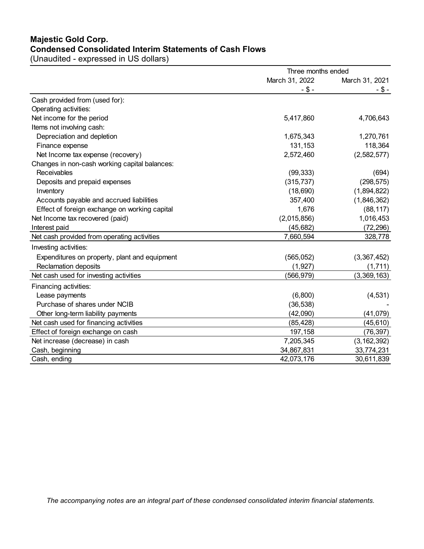# **Majestic Gold Corp. Condensed Consolidated Interim Statements of Cash Flows**

(Unaudited - expressed in US dollars)

|                                               | Three months ended |                |  |
|-----------------------------------------------|--------------------|----------------|--|
|                                               | March 31, 2022     | March 31, 2021 |  |
|                                               | $- $ -$            | -\$-           |  |
| Cash provided from (used for):                |                    |                |  |
| Operating activities:                         |                    |                |  |
| Net income for the period                     | 5,417,860          | 4,706,643      |  |
| Items not involving cash:                     |                    |                |  |
| Depreciation and depletion                    | 1,675,343          | 1,270,761      |  |
| Finance expense                               | 131,153            | 118,364        |  |
| Net Income tax expense (recovery)             | 2,572,460          | (2,582,577)    |  |
| Changes in non-cash working capital balances: |                    |                |  |
| <b>Receivables</b>                            | (99, 333)          | (694)          |  |
| Deposits and prepaid expenses                 | (315, 737)         | (298, 575)     |  |
| Inventory                                     | (18, 690)          | (1,894,822)    |  |
| Accounts payable and accrued liabilities      | 357,400            | (1,846,362)    |  |
| Effect of foreign exchange on working capital | 1,676              | (88, 117)      |  |
| Net Income tax recovered (paid)               | (2,015,856)        | 1,016,453      |  |
| Interest paid                                 | (45, 682)          | (72, 296)      |  |
| Net cash provided from operating activities   | 7,660,594          | 328,778        |  |
| Investing activities:                         |                    |                |  |
| Expenditures on property, plant and equipment | (565, 052)         | (3,367,452)    |  |
| Reclamation deposits                          | (1, 927)           | (1,711)        |  |
| Net cash used for investing activities        | (566, 979)         | (3,369,163)    |  |
| Financing activities:                         |                    |                |  |
| Lease payments                                | (6,800)            | (4, 531)       |  |
| Purchase of shares under NCIB                 | (36, 538)          |                |  |
| Other long-term liability payments            | (42,090)           | (41,079)       |  |
| Net cash used for financing activities        | (85, 428)          | (45, 610)      |  |
| Effect of foreign exchange on cash            | 197,158            | (76, 397)      |  |
| Net increase (decrease) in cash               | 7,205,345          | (3, 162, 392)  |  |
| Cash, beginning                               | 34,867,831         | 33,774,231     |  |
| Cash, ending                                  | 42,073,176         | 30,611,839     |  |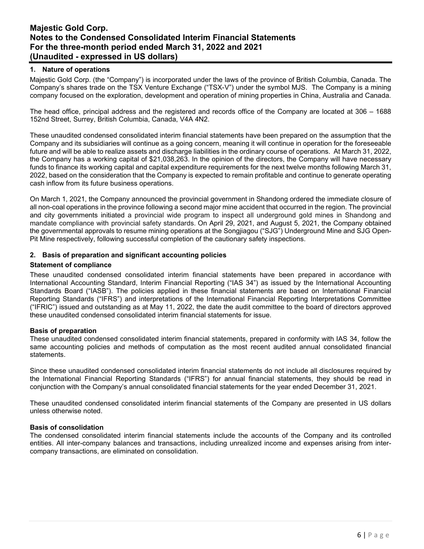# **1. Nature of operations**

Majestic Gold Corp. (the "Company") is incorporated under the laws of the province of British Columbia, Canada. The Company's shares trade on the TSX Venture Exchange ("TSX-V") under the symbol MJS. The Company is a mining company focused on the exploration, development and operation of mining properties in China, Australia and Canada.

The head office, principal address and the registered and records office of the Company are located at 306 – 1688 152nd Street, Surrey, British Columbia, Canada, V4A 4N2.

These unaudited condensed consolidated interim financial statements have been prepared on the assumption that the Company and its subsidiaries will continue as a going concern, meaning it will continue in operation for the foreseeable future and will be able to realize assets and discharge liabilities in the ordinary course of operations. At March 31, 2022, the Company has a working capital of \$21,038,263. In the opinion of the directors, the Company will have necessary funds to finance its working capital and capital expenditure requirements for the next twelve months following March 31, 2022, based on the consideration that the Company is expected to remain profitable and continue to generate operating cash inflow from its future business operations.

On March 1, 2021, the Company announced the provincial government in Shandong ordered the immediate closure of all non-coal operations in the province following a second major mine accident that occurred in the region. The provincial and city governments initiated a provincial wide program to inspect all underground gold mines in Shandong and mandate compliance with provincial safety standards. On April 29, 2021, and August 5, 2021, the Company obtained the governmental approvals to resume mining operations at the Songjiagou ("SJG") Underground Mine and SJG Open-Pit Mine respectively, following successful completion of the cautionary safety inspections.

#### **2. Basis of preparation and significant accounting policies**

#### **Statement of compliance**

These unaudited condensed consolidated interim financial statements have been prepared in accordance with International Accounting Standard, Interim Financial Reporting ("IAS 34") as issued by the International Accounting Standards Board ("IASB"). The policies applied in these financial statements are based on International Financial Reporting Standards ("IFRS") and interpretations of the International Financial Reporting Interpretations Committee ("IFRIC") issued and outstanding as at May 11, 2022, the date the audit committee to the board of directors approved these unaudited condensed consolidated interim financial statements for issue.

#### **Basis of preparation**

These unaudited condensed consolidated interim financial statements, prepared in conformity with IAS 34, follow the same accounting policies and methods of computation as the most recent audited annual consolidated financial statements.

Since these unaudited condensed consolidated interim financial statements do not include all disclosures required by the International Financial Reporting Standards ("IFRS") for annual financial statements, they should be read in conjunction with the Company's annual consolidated financial statements for the year ended December 31, 2021.

These unaudited condensed consolidated interim financial statements of the Company are presented in US dollars unless otherwise noted.

### **Basis of consolidation**

The condensed consolidated interim financial statements include the accounts of the Company and its controlled entities. All inter-company balances and transactions, including unrealized income and expenses arising from intercompany transactions, are eliminated on consolidation.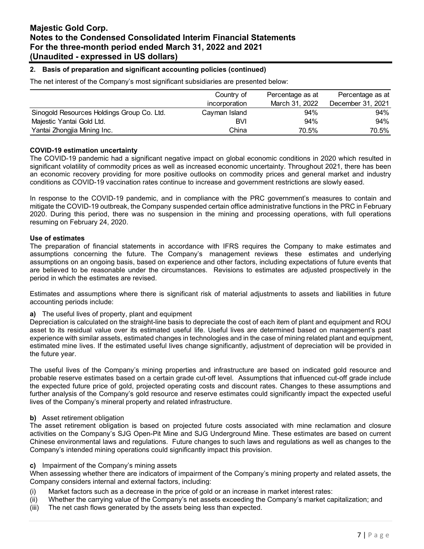### **2. Basis of preparation and significant accounting policies (continued)**

The net interest of the Company's most significant subsidiaries are presented below:

|                                            | Country of    | Percentage as at |                   |
|--------------------------------------------|---------------|------------------|-------------------|
|                                            | incorporation | March 31, 2022   | December 31, 2021 |
| Sinogold Resources Holdings Group Co. Ltd. | Cayman Island | 94%              | 94%               |
| Majestic Yantai Gold Ltd.                  | BVI           | 94%              | 94%               |
| Yantai Zhongjia Mining Inc.                | China         | 70.5%            | 70.5%             |

#### **COVID-19 estimation uncertainty**

The COVID-19 pandemic had a significant negative impact on global economic conditions in 2020 which resulted in significant volatility of commodity prices as well as increased economic uncertainty. Throughout 2021, there has been an economic recovery providing for more positive outlooks on commodity prices and general market and industry conditions as COVID-19 vaccination rates continue to increase and government restrictions are slowly eased.

In response to the COVID-19 pandemic, and in compliance with the PRC government's measures to contain and mitigate the COVID-19 outbreak, the Company suspended certain office administrative functions in the PRC in February 2020. During this period, there was no suspension in the mining and processing operations, with full operations resuming on February 24, 2020.

#### **Use of estimates**

The preparation of financial statements in accordance with IFRS requires the Company to make estimates and assumptions concerning the future. The Company's management reviews these estimates and underlying assumptions on an ongoing basis, based on experience and other factors, including expectations of future events that are believed to be reasonable under the circumstances. Revisions to estimates are adjusted prospectively in the period in which the estimates are revised.

Estimates and assumptions where there is significant risk of material adjustments to assets and liabilities in future accounting periods include:

**a)** The useful lives of property, plant and equipment

Depreciation is calculated on the straight-line basis to depreciate the cost of each item of plant and equipment and ROU asset to its residual value over its estimated useful life. Useful lives are determined based on management's past experience with similar assets, estimated changes in technologies and in the case of mining related plant and equipment, estimated mine lives. If the estimated useful lives change significantly, adjustment of depreciation will be provided in the future year.

The useful lives of the Company's mining properties and infrastructure are based on indicated gold resource and probable reserve estimates based on a certain grade cut-off level. Assumptions that influenced cut-off grade include the expected future price of gold, projected operating costs and discount rates. Changes to these assumptions and further analysis of the Company's gold resource and reserve estimates could significantly impact the expected useful lives of the Company's mineral property and related infrastructure.

#### **b)** Asset retirement obligation

The asset retirement obligation is based on projected future costs associated with mine reclamation and closure activities on the Company's SJG Open-Pit Mine and SJG Underground Mine. These estimates are based on current Chinese environmental laws and regulations. Future changes to such laws and regulations as well as changes to the Company's intended mining operations could significantly impact this provision.

#### **c)** Impairment of the Company's mining assets

When assessing whether there are indicators of impairment of the Company's mining property and related assets, the Company considers internal and external factors, including:

- (i) Market factors such as a decrease in the price of gold or an increase in market interest rates:
- (ii) Whether the carrying value of the Company's net assets exceeding the Company's market capitalization; and
- (iii) The net cash flows generated by the assets being less than expected.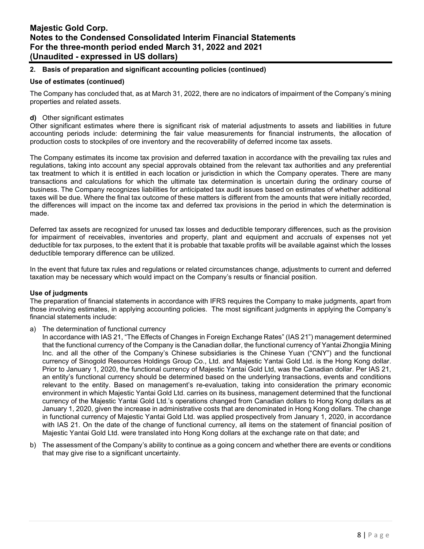# **2. Basis of preparation and significant accounting policies (continued)**

### **Use of estimates (continued)**

The Company has concluded that, as at March 31, 2022, there are no indicators of impairment of the Company's mining properties and related assets.

### **d)** Other significant estimates

Other significant estimates where there is significant risk of material adjustments to assets and liabilities in future accounting periods include: determining the fair value measurements for financial instruments, the allocation of production costs to stockpiles of ore inventory and the recoverability of deferred income tax assets.

The Company estimates its income tax provision and deferred taxation in accordance with the prevailing tax rules and regulations, taking into account any special approvals obtained from the relevant tax authorities and any preferential tax treatment to which it is entitled in each location or jurisdiction in which the Company operates. There are many transactions and calculations for which the ultimate tax determination is uncertain during the ordinary course of business. The Company recognizes liabilities for anticipated tax audit issues based on estimates of whether additional taxes will be due. Where the final tax outcome of these matters is different from the amounts that were initially recorded, the differences will impact on the income tax and deferred tax provisions in the period in which the determination is made.

Deferred tax assets are recognized for unused tax losses and deductible temporary differences, such as the provision for impairment of receivables, inventories and property, plant and equipment and accruals of expenses not yet deductible for tax purposes, to the extent that it is probable that taxable profits will be available against which the losses deductible temporary difference can be utilized.

In the event that future tax rules and regulations or related circumstances change, adjustments to current and deferred taxation may be necessary which would impact on the Company's results or financial position.

#### **Use of judgments**

The preparation of financial statements in accordance with IFRS requires the Company to make judgments, apart from those involving estimates, in applying accounting policies. The most significant judgments in applying the Company's financial statements include:

#### a) The determination of functional currency

In accordance with IAS 21, "The Effects of Changes in Foreign Exchange Rates" (IAS 21") management determined that the functional currency of the Company is the Canadian dollar, the functional currency of Yantai Zhongjia Mining Inc. and all the other of the Company's Chinese subsidiaries is the Chinese Yuan ("CNY") and the functional currency of Sinogold Resources Holdings Group Co., Ltd. and Majestic Yantai Gold Ltd. is the Hong Kong dollar. Prior to January 1, 2020, the functional currency of Majestic Yantai Gold Ltd, was the Canadian dollar. Per IAS 21, an entity's functional currency should be determined based on the underlying transactions, events and conditions relevant to the entity. Based on management's re-evaluation, taking into consideration the primary economic environment in which Majestic Yantai Gold Ltd. carries on its business, management determined that the functional currency of the Majestic Yantai Gold Ltd.'s operations changed from Canadian dollars to Hong Kong dollars as at January 1, 2020, given the increase in administrative costs that are denominated in Hong Kong dollars. The change in functional currency of Majestic Yantai Gold Ltd. was applied prospectively from January 1, 2020, in accordance with IAS 21. On the date of the change of functional currency, all items on the statement of financial position of Majestic Yantai Gold Ltd. were translated into Hong Kong dollars at the exchange rate on that date; and

b) The assessment of the Company's ability to continue as a going concern and whether there are events or conditions that may give rise to a significant uncertainty.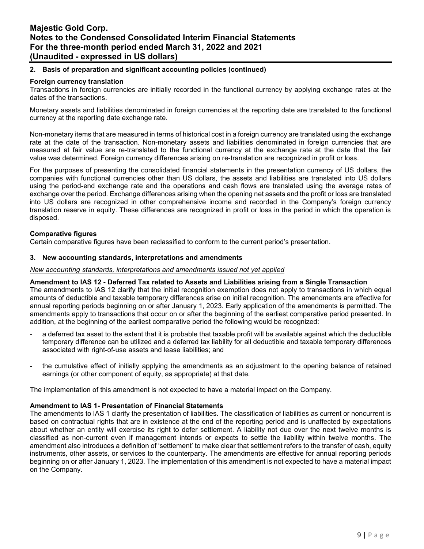### **2. Basis of preparation and significant accounting policies (continued)**

### **Foreign currency translation**

Transactions in foreign currencies are initially recorded in the functional currency by applying exchange rates at the dates of the transactions.

Monetary assets and liabilities denominated in foreign currencies at the reporting date are translated to the functional currency at the reporting date exchange rate.

Non-monetary items that are measured in terms of historical cost in a foreign currency are translated using the exchange rate at the date of the transaction. Non-monetary assets and liabilities denominated in foreign currencies that are measured at fair value are re-translated to the functional currency at the exchange rate at the date that the fair value was determined. Foreign currency differences arising on re-translation are recognized in profit or loss.

For the purposes of presenting the consolidated financial statements in the presentation currency of US dollars, the companies with functional currencies other than US dollars, the assets and liabilities are translated into US dollars using the period-end exchange rate and the operations and cash flows are translated using the average rates of exchange over the period. Exchange differences arising when the opening net assets and the profit or loss are translated into US dollars are recognized in other comprehensive income and recorded in the Company's foreign currency translation reserve in equity. These differences are recognized in profit or loss in the period in which the operation is disposed.

# **Comparative figures**

Certain comparative figures have been reclassified to conform to the current period's presentation.

#### **3. New accounting standards, interpretations and amendments**

#### *New accounting standards, interpretations and amendments issued not yet applied*

#### **Amendment to IAS 12 - Deferred Tax related to Assets and Liabilities arising from a Single Transaction**

The amendments to IAS 12 clarify that the initial recognition exemption does not apply to transactions in which equal amounts of deductible and taxable temporary differences arise on initial recognition. The amendments are effective for annual reporting periods beginning on or after January 1, 2023. Early application of the amendments is permitted. The amendments apply to transactions that occur on or after the beginning of the earliest comparative period presented. In addition, at the beginning of the earliest comparative period the following would be recognized:

- a deferred tax asset to the extent that it is probable that taxable profit will be available against which the deductible temporary difference can be utilized and a deferred tax liability for all deductible and taxable temporary differences associated with right-of-use assets and lease liabilities; and
- the cumulative effect of initially applying the amendments as an adjustment to the opening balance of retained earnings (or other component of equity, as appropriate) at that date.

The implementation of this amendment is not expected to have a material impact on the Company.

#### **Amendment to IAS 1- Presentation of Financial Statements**

The amendments to IAS 1 clarify the presentation of liabilities. The classification of liabilities as current or noncurrent is based on contractual rights that are in existence at the end of the reporting period and is unaffected by expectations about whether an entity will exercise its right to defer settlement. A liability not due over the next twelve months is classified as non-current even if management intends or expects to settle the liability within twelve months. The amendment also introduces a definition of 'settlement' to make clear that settlement refers to the transfer of cash, equity instruments, other assets, or services to the counterparty. The amendments are effective for annual reporting periods beginning on or after January 1, 2023. The implementation of this amendment is not expected to have a material impact on the Company.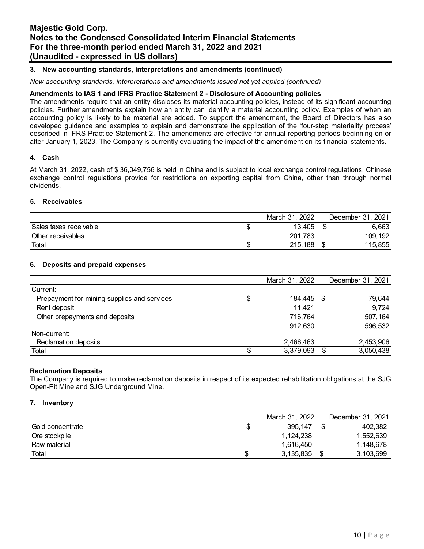### **3. New accounting standards, interpretations and amendments (continued)**

#### *New accounting standards, interpretations and amendments issued not yet applied (continued)*

#### **Amendments to IAS 1 and IFRS Practice Statement 2 - Disclosure of Accounting policies**

The amendments require that an entity discloses its material accounting policies, instead of its significant accounting policies. Further amendments explain how an entity can identify a material accounting policy. Examples of when an accounting policy is likely to be material are added. To support the amendment, the Board of Directors has also developed guidance and examples to explain and demonstrate the application of the 'four-step materiality process' described in IFRS Practice Statement 2. The amendments are effective for annual reporting periods beginning on or after January 1, 2023. The Company is currently evaluating the impact of the amendment on its financial statements.

#### **4. Cash**

At March 31, 2022, cash of \$ 36,049,756 is held in China and is subject to local exchange control regulations. Chinese exchange control regulations provide for restrictions on exporting capital from China, other than through normal dividends.

#### **5. Receivables**

|                        | March 31, 2022 | December 31, 2021 |
|------------------------|----------------|-------------------|
| Sales taxes receivable | 13.405         | 6,663             |
| Other receivables      | 201,783        | 109,192           |
| Total                  | 215,188        | 115,855           |

#### **6. Deposits and prepaid expenses**

|                                             | March 31, 2022   | December 31, 2021 |
|---------------------------------------------|------------------|-------------------|
| Current:                                    |                  |                   |
| Prepayment for mining supplies and services | \$<br>184,445 \$ | 79,644            |
| Rent deposit                                | 11.421           | 9,724             |
| Other prepayments and deposits              | 716,764          | 507,164           |
|                                             | 912,630          | 596,532           |
| Non-current:                                |                  |                   |
| Reclamation deposits                        | 2,466,463        | 2,453,906         |
| Total                                       | 3,379,093        | 3,050,438         |

#### **Reclamation Deposits**

The Company is required to make reclamation deposits in respect of its expected rehabilitation obligations at the SJG Open-Pit Mine and SJG Underground Mine.

#### **7. Inventory**

|                  | March 31, 2022 | December 31, 2021 |
|------------------|----------------|-------------------|
| Gold concentrate | 395.147        | 402.382           |
| Ore stockpile    | 1.124.238      | 1,552,639         |
| Raw material     | 1.616.450      | 1.148.678         |
| Total            | 3,135,835      | \$<br>3,103,699   |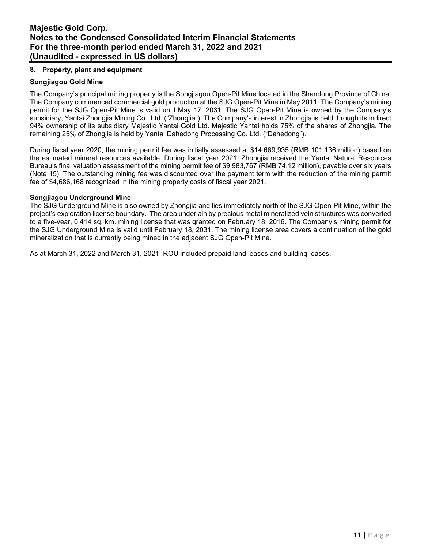# **8. Property, plant and equipment**

# **Songjiagou Gold Mine**

The Company's principal mining property is the Songjiagou Open-Pit Mine located in the Shandong Province of China. The Company commenced commercial gold production at the SJG Open-Pit Mine in May 2011. The Company's mining permit for the SJG Open-Pit Mine is valid until May 17, 2031. The SJG Open-Pit Mine is owned by the Company's subsidiary, Yantai Zhongjia Mining Co., Ltd. ("Zhongjia"). The Company's interest in Zhongjia is held through its indirect 94% ownership of its subsidiary Majestic Yantai Gold Ltd. Majestic Yantai holds 75% of the shares of Zhongjia. The remaining 25% of Zhongjia is held by Yantai Dahedong Processing Co. Ltd. ("Dahedong").

During fiscal year 2020, the mining permit fee was initially assessed at \$14,669,935 (RMB 101.136 million) based on the estimated mineral resources available. During fiscal year 2021, Zhongjia received the Yantai Natural Resources Bureau's final valuation assessment of the mining permit fee of \$9,983,767 (RMB 74.12 million), payable over six years (Note 15). The outstanding mining fee was discounted over the payment term with the reduction of the mining permit fee of \$4,686,168 recognized in the mining property costs of fiscal year 2021.

### **Songjiagou Underground Mine**

The SJG Underground Mine is also owned by Zhongjia and lies immediately north of the SJG Open-Pit Mine, within the project's exploration license boundary. The area underlain by precious metal mineralized vein structures was converted to a five-year, 0.414 sq. km. mining license that was granted on February 18, 2016. The Company's mining permit for the SJG Underground Mine is valid until February 18, 2031. The mining license area covers a continuation of the gold mineralization that is currently being mined in the adjacent SJG Open-Pit Mine.

As at March 31, 2022 and March 31, 2021, ROU included prepaid land leases and building leases.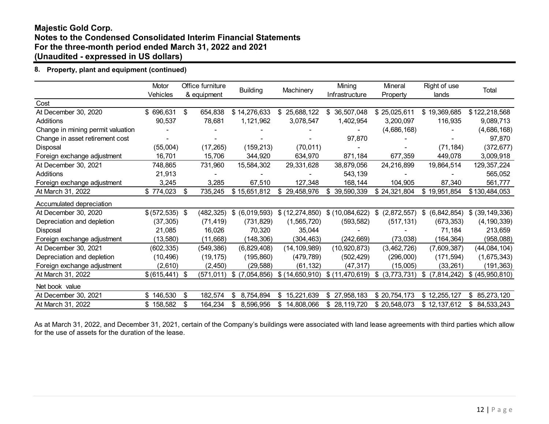# **8. Property, plant and equipment (continued)**

|                                   | Motor<br>Vehicles |      | Office furniture<br>& equipment | <b>Building</b><br>Machinery |                  | Mining<br>Infrastructure | Mineral<br>Property | Right of use<br>lands | Total             |
|-----------------------------------|-------------------|------|---------------------------------|------------------------------|------------------|--------------------------|---------------------|-----------------------|-------------------|
| Cost                              |                   |      |                                 |                              |                  |                          |                     |                       |                   |
| At December 30, 2020              | 696,631<br>\$     | \$   | 654,838                         | \$14,276,633                 | 25,688,122<br>\$ | 36,507,048               | \$25,025,611        | \$19,369,685          | \$122,218,568     |
| Additions                         | 90,537            |      | 78,681                          | 1,121,962                    | 3,078,547        | 1,402,954                | 3,200,097           | 116,935               | 9,089,713         |
| Change in mining permit valuation |                   |      |                                 |                              |                  |                          | (4,686,168)         |                       | (4,686,168)       |
| Change in asset retirement cost   |                   |      |                                 |                              |                  | 97,870                   |                     |                       | 97,870            |
| Disposal                          | (55,004)          |      | (17, 265)                       | (159, 213)                   | (70, 011)        |                          |                     | (71, 184)             | (372, 677)        |
| Foreign exchange adjustment       | 16,701            |      | 15,706                          | 344,920                      | 634,970          | 871,184                  | 677,359             | 449,078               | 3,009,918         |
| At December 30, 2021              | 748,865           |      | 731,960                         | 15,584,302                   | 29,331,628       | 38,879,056               | 24,216,899          | 19,864,514            | 129, 357, 224     |
| Additions                         | 21,913            |      |                                 |                              |                  | 543,139                  |                     |                       | 565,052           |
| Foreign exchange adjustment       | 3,245             |      | 3,285                           | 67,510                       | 127,348          | 168,144                  | 104,905             | 87,340                | 561,777           |
| At March 31, 2022                 | \$774,023         | \$   | 735,245                         | \$15,651,812                 | \$29,458,976     | 39,590,339               | \$24,321,804        | \$19,951,854          | \$130,484,053     |
| Accumulated depreciation          |                   |      |                                 |                              |                  |                          |                     |                       |                   |
| At December 30, 2020              | $$(572,535)$ \;   |      | (482, 325)                      | \$ (6,019,593)               | \$(12,274,850)   | \$(10,084,622)           | (2,872,557)<br>\$   | (6, 842, 854)<br>\$   | \$ (39, 149, 336) |
| Depreciation and depletion        | (37, 305)         |      | (71, 419)                       | (731, 829)                   | (1,565,720)      | (593, 582)               | (517, 131)          | (673, 353)            | (4, 190, 339)     |
| Disposal                          | 21,085            |      | 16,026                          | 70,320                       | 35,044           |                          |                     | 71,184                | 213,659           |
| Foreign exchange adjustment       | (13, 580)         |      | (11,668)                        | (148, 306)                   | (304, 463)       | (242, 669)               | (73,038)            | (164, 364)            | (958,088)         |
| At December 30, 2021              | (602, 335)        |      | (549, 386)                      | (6,829,408)                  | (14, 109, 989)   | (10, 920, 873)           | (3,462,726)         | (7,609,387)           | (44, 084, 104)    |
| Depreciation and depletion        | (10, 496)         |      | (19, 175)                       | (195, 860)                   | (479, 789)       | (502, 429)               | (296,000)           | (171, 594)            | (1,675,343)       |
| Foreign exchange adjustment       | (2,610)           |      | (2, 450)                        | (29, 588)                    | (61, 132)        | (47,317)                 | (15,005)            | (33, 261)             | (191, 363)        |
| At March 31, 2022                 | \$(615,441)       | - \$ | (571,011)                       | $$$ (7,054,856)              | \$(14,650,910)   | \$(11, 470, 619)         | \$<br>(3,773,731)   | \$<br>(7,814,242)     | \$ (45,950,810)   |
| Net book value                    |                   |      |                                 |                              |                  |                          |                     |                       |                   |
| At December 30, 2021              | \$146,530         | \$   | 182,574                         | 8,754,894<br>\$.             | 15,221,639<br>\$ | 27,958,183<br>\$         | \$20,754,173        | \$12,255,127          | \$85,273,120      |
| At March 31, 2022                 | \$158,582         | \$   | 164,234                         | 8,596,956<br>\$              | 14,808,066<br>\$ | 28,119,720               | \$20,548,073        | \$12,137,612          | \$84,533,243      |

As at March 31, 2022, and December 31, 2021, certain of the Company's buildings were associated with land lease agreements with third parties which allow for the use of assets for the duration of the lease.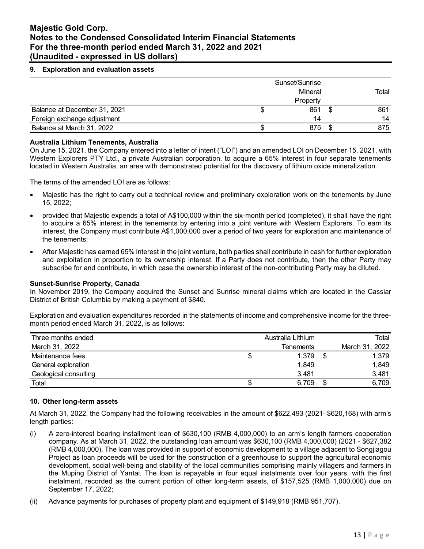### **9. Exploration and evaluation assets**

|                              |    | Sunset/Sunrise<br>Mineral<br>Property |   | Total |
|------------------------------|----|---------------------------------------|---|-------|
| Balance at December 31, 2021 | ۰D | 861                                   | S | 861   |
| Foreign exchange adjustment  |    | 14                                    |   | 14    |
| Balance at March 31, 2022    |    | 875                                   |   | 875   |

#### **Australia Lithium Tenements, Australia**

On June 15, 2021, the Company entered into a letter of intent ("LOI") and an amended LOI on December 15, 2021, with Western Explorers PTY Ltd., a private Australian corporation, to acquire a 65% interest in four separate tenements located in Western Australia, an area with demonstrated potential for the discovery of lithium oxide mineralization.

The terms of the amended LOI are as follows:

- Majestic has the right to carry out a technical review and preliminary exploration work on the tenements by June 15, 2022;
- provided that Majestic expends a total of A\$100,000 within the six-month period (completed), it shall have the right to acquire a 65% interest in the tenements by entering into a joint venture with Western Explorers. To earn its interest, the Company must contribute A\$1,000,000 over a period of two years for exploration and maintenance of the tenements;
- After Majestic has earned 65% interest in the joint venture, both parties shall contribute in cash for further exploration and exploitation in proportion to its ownership interest. If a Party does not contribute, then the other Party may subscribe for and contribute, in which case the ownership interest of the non-contributing Party may be diluted.

#### **Sunset-Sunrise Property, Canada**

In November 2019, the Company acquired the Sunset and Sunrise mineral claims which are located in the Cassiar District of British Columbia by making a payment of \$840.

Exploration and evaluation expenditures recorded in the statements of income and comprehensive income for the threemonth period ended March 31, 2022, is as follows:

| Three months ended    | Australia Lithium | Total          |
|-----------------------|-------------------|----------------|
| March 31, 2022        | Tenements         | March 31, 2022 |
| Maintenance fees      | 1,379             | 1,379          |
| General exploration   | 1,849             | 1,849          |
| Geological consulting | 3,481             | 3,481          |
| Total                 | 6,709             | 6,709          |

#### **10. Other long-term assets**

At March 31, 2022, the Company had the following receivables in the amount of \$622,493 (2021- \$620,168) with arm's length parties:

- (i) A zero-interest bearing installment loan of \$630,100 (RMB 4,000,000) to an arm's length farmers cooperation company. As at March 31, 2022, the outstanding loan amount was \$630,100 (RMB 4,000,000) (2021 - \$627,382 (RMB 4,000,000). The loan was provided in support of economic development to a village adjacent to Songjiagou Project as loan proceeds will be used for the construction of a greenhouse to support the agricultural economic development, social well-being and stability of the local communities comprising mainly villagers and farmers in the Muping District of Yantai. The loan is repayable in four equal instalments over four years, with the first instalment, recorded as the current portion of other long-term assets, of \$157,525 (RMB 1,000,000) due on September 17, 2022;
- (ii) Advance payments for purchases of property plant and equipment of \$149,918 (RMB 951,707).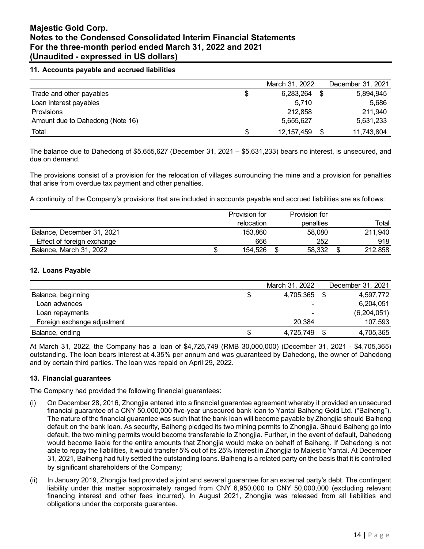### **11. Accounts payable and accrued liabilities**

|                                  | March 31, 2022  | December 31, 2021 |
|----------------------------------|-----------------|-------------------|
| Trade and other payables         | \$<br>6,283,264 | 5,894,945         |
| Loan interest payables           | 5.710           | 5,686             |
| Provisions                       | 212,858         | 211,940           |
| Amount due to Dahedong (Note 16) | 5,655,627       | 5,631,233         |
| Total                            | 12, 157, 459    | 11,743,804        |

The balance due to Dahedong of \$5,655,627 (December 31, 2021 – \$5,631,233) bears no interest, is unsecured, and due on demand.

The provisions consist of a provision for the relocation of villages surrounding the mine and a provision for penalties that arise from overdue tax payment and other penalties.

A continuity of the Company's provisions that are included in accounts payable and accrued liabilities are as follows:

|                            |    | Provision for | Provision for |         |
|----------------------------|----|---------------|---------------|---------|
|                            |    | relocation    | penalties     | Total   |
| Balance, December 31, 2021 |    | 153.860       | 58,080        | 211,940 |
| Effect of foreign exchange |    | 666           | 252           | 918     |
| Balance, March 31, 2022    | ۰D | 154.526       | 58,332        | 212,858 |

### **12. Loans Payable**

|                             | March 31, 2022           | December 31, 2021 |
|-----------------------------|--------------------------|-------------------|
| Balance, beginning          | 4,705,365                | 4.597.772         |
| Loan advances               | $\overline{\phantom{a}}$ | 6,204,051         |
| Loan repayments             | $\overline{\phantom{a}}$ | (6,204,051)       |
| Foreign exchange adjustment | 20,384                   | 107,593           |
| Balance, ending             | \$<br>4,725,749          | 4,705,365         |

At March 31, 2022, the Company has a loan of \$4,725,749 (RMB 30,000,000) (December 31, 2021 - \$4,705,365) outstanding. The loan bears interest at 4.35% per annum and was guaranteed by Dahedong, the owner of Dahedong and by certain third parties. The loan was repaid on April 29, 2022.

#### **13. Financial guarantees**

The Company had provided the following financial guarantees:

- (i) On December 28, 2016, Zhongjia entered into a financial guarantee agreement whereby it provided an unsecured financial guarantee of a CNY 50,000,000 five-year unsecured bank loan to Yantai Baiheng Gold Ltd. ("Baiheng"). The nature of the financial guarantee was such that the bank loan will become payable by Zhongjia should Baiheng default on the bank loan. As security, Baiheng pledged its two mining permits to Zhongjia. Should Baiheng go into default, the two mining permits would become transferable to Zhongjia. Further, in the event of default, Dahedong would become liable for the entire amounts that Zhongjia would make on behalf of Baiheng. If Dahedong is not able to repay the liabilities, it would transfer 5% out of its 25% interest in Zhongjia to Majestic Yantai. At December 31, 2021, Baiheng had fully settled the outstanding loans. Baiheng is a related party on the basis that it is controlled by significant shareholders of the Company;
- (ii) In January 2019, Zhongjia had provided a joint and several guarantee for an external party's debt. The contingent liability under this matter approximately ranged from CNY 6,950,000 to CNY 50,000,000 (excluding relevant financing interest and other fees incurred). In August 2021, Zhongjia was released from all liabilities and obligations under the corporate guarantee.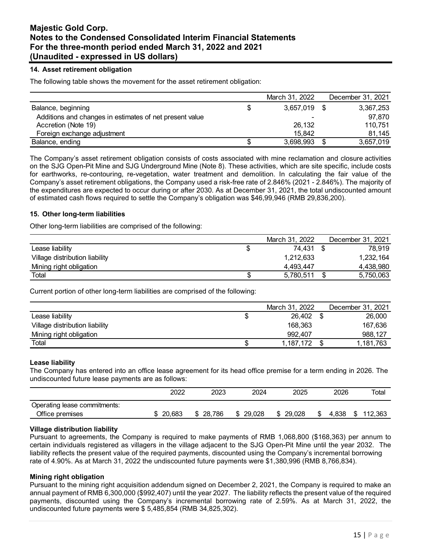### **14. Asset retirement obligation**

The following table shows the movement for the asset retirement obligation:

|                                                         | March 31, 2022 | December 31, 2021 |
|---------------------------------------------------------|----------------|-------------------|
| Balance, beginning                                      | 3,657,019      | 3,367,253         |
| Additions and changes in estimates of net present value | $\blacksquare$ | 97,870            |
| Accretion (Note 19)                                     | 26,132         | 110,751           |
| Foreign exchange adjustment                             | 15.842         | 81.145            |
| Balance, ending                                         | 3,698,993      | 3,657,019         |

The Company's asset retirement obligation consists of costs associated with mine reclamation and closure activities on the SJG Open-Pit Mine and SJG Underground Mine (Note 8). These activities, which are site specific, include costs for earthworks, re-contouring, re-vegetation, water treatment and demolition. In calculating the fair value of the Company's asset retirement obligations, the Company used a risk-free rate of 2.846% (2021 - 2.846%). The majority of the expenditures are expected to occur during or after 2030. As at December 31, 2021, the total undiscounted amount of estimated cash flows required to settle the Company's obligation was \$46,99,946 (RMB 29,836,200).

#### **15. Other long-term liabilities**

Other long-term liabilities are comprised of the following:

|                                | March 31, 2022 | December 31, 2021 |
|--------------------------------|----------------|-------------------|
| Lease liability                | 74.431         | 78.919            |
| Village distribution liability | 1,212,633      | 1,232,164         |
| Mining right obligation        | 4.493.447      | 4,438,980         |
| Total                          | 5,780,511      | 5,750,063         |

Current portion of other long-term liabilities are comprised of the following:

|                                |   | March 31, 2022 | December 31, 2021 |
|--------------------------------|---|----------------|-------------------|
| Lease liability                | ง | 26,402         | 26,000            |
| Village distribution liability |   | 168,363        | 167.636           |
| Mining right obligation        |   | 992.407        | 988,127           |
| Total                          |   | 1,187,172      | 1,181,763         |

#### **Lease liability**

The Company has entered into an office lease agreement for its head office premise for a term ending in 2026. The undiscounted future lease payments are as follows:

|                              | 2022   | 2023   | 2024   | 2025         | 2026       | Totai          |
|------------------------------|--------|--------|--------|--------------|------------|----------------|
| Operating lease commitments: |        |        |        |              |            |                |
| Office premises              | 20.683 | 28.786 | 29.028 | 29.028<br>\$ | 4.838<br>S | 112,363<br>\$. |

#### **Village distribution liability**

Pursuant to agreements, the Company is required to make payments of RMB 1,068,800 (\$168,363) per annum to certain individuals registered as villagers in the village adjacent to the SJG Open-Pit Mine until the year 2032. The liability reflects the present value of the required payments, discounted using the Company's incremental borrowing rate of 4.90%. As at March 31, 2022 the undiscounted future payments were \$1,380,996 (RMB 8,766,834).

#### **Mining right obligation**

Pursuant to the mining right acquisition addendum signed on December 2, 2021, the Company is required to make an annual payment of RMB 6,300,000 (\$992,407) until the year 2027. The liability reflects the present value of the required payments, discounted using the Company's incremental borrowing rate of 2.59%. As at March 31, 2022, the undiscounted future payments were \$ 5,485,854 (RMB 34,825,302).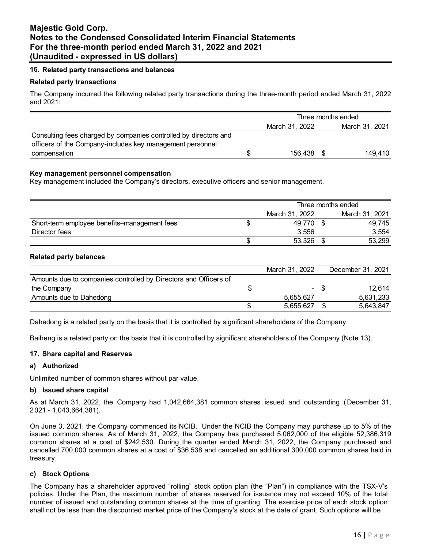### **16. Related party transactions and balances**

#### **Related party transactions**

The Company incurred the following related party transactions during the three-month period ended March 31, 2022 and 2021:

|                                                                  | Three months ended |                |      |                |
|------------------------------------------------------------------|--------------------|----------------|------|----------------|
|                                                                  |                    | March 31, 2022 |      | March 31, 2021 |
| Consulting fees charged by companies controlled by directors and |                    |                |      |                |
| officers of the Company-includes key management personnel        |                    |                |      |                |
| compensation                                                     |                    | 156,438        | - \$ | 149.410        |

### **Key management personnel compensation**

Key management included the Company's directors, executive officers and senior management.

|                                              | Three months ended |  |                |  |
|----------------------------------------------|--------------------|--|----------------|--|
|                                              | March 31, 2022     |  | March 31, 2021 |  |
| Short-term employee benefits-management fees | 49,770 \$          |  | 49.745         |  |
| Director fees                                | 3.556              |  | 3,554          |  |
|                                              | 53,326             |  | 53,299         |  |

### **Related party balances**

|                                                                  | March 31, 2022 |      | December 31, 2021 |
|------------------------------------------------------------------|----------------|------|-------------------|
| Amounts due to companies controlled by Directors and Officers of |                |      |                   |
| the Company                                                      |                | - \$ | 12.614            |
| Amounts due to Dahedong                                          | 5.655.627      |      | 5.631.233         |
|                                                                  | 5,655,627      |      | 5,643,847         |

Dahedong is a related party on the basis that it is controlled by significant shareholders of the Company.

Baiheng is a related party on the basis that it is controlled by significant shareholders of the Company (Note 13).

#### **17. Share capital and Reserves**

#### **a) Authorized**

Unlimited number of common shares without par value.

#### **b) Issued share capital**

As at March 31, 2022, the Company had 1,042,664,381 common shares issued and outstanding (December 31, 2021 - 1,043,664,381).

On June 3, 2021, the Company commenced its NCIB. Under the NCIB the Company may purchase up to 5% of the issued common shares. As of March 31, 2022, the Company has purchased 5,062,000 of the eligible 52,386,319 common shares at a cost of \$242,530. During the quarter ended March 31, 2022, the Company purchased and cancelled 700,000 common shares at a cost of \$36,538 and cancelled an additional 300,000 common shares held in treasury.

#### **c) Stock Options**

The Company has a shareholder approved "rolling" stock option plan (the "Plan") in compliance with the TSX-V's policies. Under the Plan, the maximum number of shares reserved for issuance may not exceed 10% of the total number of issued and outstanding common shares at the time of granting. The exercise price of each stock option shall not be less than the discounted market price of the Company's stock at the date of grant. Such options will be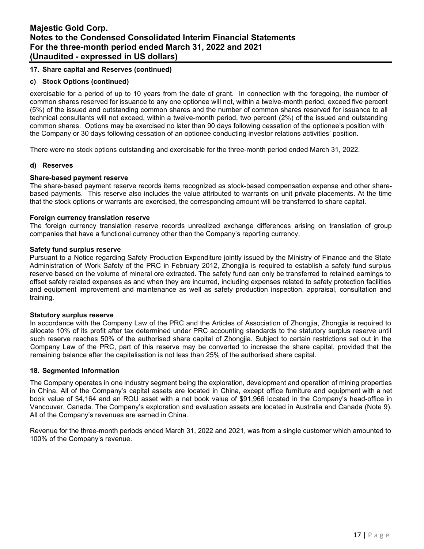# **17. Share capital and Reserves (continued)**

### **c) Stock Options (continued)**

exercisable for a period of up to 10 years from the date of grant. In connection with the foregoing, the number of common shares reserved for issuance to any one optionee will not, within a twelve-month period, exceed five percent (5%) of the issued and outstanding common shares and the number of common shares reserved for issuance to all technical consultants will not exceed, within a twelve-month period, two percent (2%) of the issued and outstanding common shares. Options may be exercised no later than 90 days following cessation of the optionee's position with the Company or 30 days following cessation of an optionee conducting investor relations activities' position.

There were no stock options outstanding and exercisable for the three-month period ended March 31, 2022.

#### **d) Reserves**

#### **Share-based payment reserve**

The share-based payment reserve records items recognized as stock-based compensation expense and other sharebased payments. This reserve also includes the value attributed to warrants on unit private placements. At the time that the stock options or warrants are exercised, the corresponding amount will be transferred to share capital.

#### **Foreign currency translation reserve**

The foreign currency translation reserve records unrealized exchange differences arising on translation of group companies that have a functional currency other than the Company's reporting currency.

#### **Safety fund surplus reserve**

Pursuant to a Notice regarding Safety Production Expenditure jointly issued by the Ministry of Finance and the State Administration of Work Safety of the PRC in February 2012, Zhongjia is required to establish a safety fund surplus reserve based on the volume of mineral ore extracted. The safety fund can only be transferred to retained earnings to offset safety related expenses as and when they are incurred, including expenses related to safety protection facilities and equipment improvement and maintenance as well as safety production inspection, appraisal, consultation and training.

#### **Statutory surplus reserve**

In accordance with the Company Law of the PRC and the Articles of Association of Zhongjia, Zhongjia is required to allocate 10% of its profit after tax determined under PRC accounting standards to the statutory surplus reserve until such reserve reaches 50% of the authorised share capital of Zhongjia. Subject to certain restrictions set out in the Company Law of the PRC, part of this reserve may be converted to increase the share capital, provided that the remaining balance after the capitalisation is not less than 25% of the authorised share capital.

### **18. Segmented Information**

The Company operates in one industry segment being the exploration, development and operation of mining properties in China. All of the Company's capital assets are located in China, except office furniture and equipment with a net book value of \$4,164 and an ROU asset with a net book value of \$91,966 located in the Company's head-office in Vancouver, Canada. The Company's exploration and evaluation assets are located in Australia and Canada (Note 9). All of the Company's revenues are earned in China.

Revenue for the three-month periods ended March 31, 2022 and 2021, was from a single customer which amounted to 100% of the Company's revenue.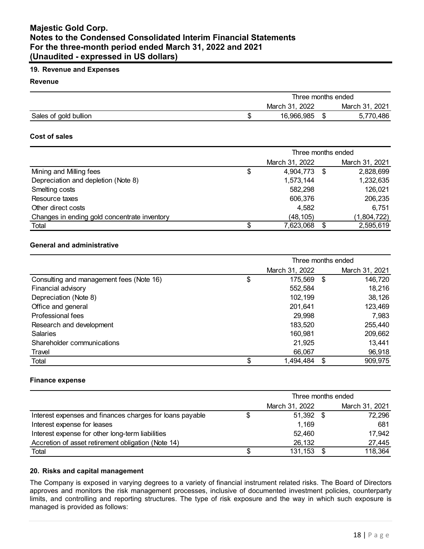# **19. Revenue and Expenses**

#### **Revenue**

|                       | Three months ended |  |                |  |
|-----------------------|--------------------|--|----------------|--|
|                       | March 31, 2022     |  | March 31, 2021 |  |
| Sales of gold bullion | 16,966,985         |  | 5,770,486      |  |

### **Cost of sales**

|                                              | Three months ended |                |      |                |  |
|----------------------------------------------|--------------------|----------------|------|----------------|--|
|                                              |                    | March 31, 2022 |      | March 31, 2021 |  |
| Mining and Milling fees                      | S                  | 4,904,773      | - \$ | 2,828,699      |  |
| Depreciation and depletion (Note 8)          |                    | 1,573,144      |      | 1,232,635      |  |
| Smelting costs                               |                    | 582,298        |      | 126,021        |  |
| Resource taxes                               |                    | 606,376        |      | 206,235        |  |
| Other direct costs                           |                    | 4,582          |      | 6,751          |  |
| Changes in ending gold concentrate inventory |                    | (48, 105)      |      | (1,804,722)    |  |
| Total                                        | \$.                | 7,623,068      | £.   | 2,595,619      |  |

# **General and administrative**

|                                          | Three months ended |                |      |                |
|------------------------------------------|--------------------|----------------|------|----------------|
|                                          |                    | March 31, 2022 |      | March 31, 2021 |
| Consulting and management fees (Note 16) | \$                 | 175,569        | - \$ | 146,720        |
| Financial advisory                       |                    | 552,584        |      | 18,216         |
| Depreciation (Note 8)                    |                    | 102,199        |      | 38,126         |
| Office and general                       |                    | 201,641        |      | 123,469        |
| Professional fees                        |                    | 29,998         |      | 7,983          |
| Research and development                 |                    | 183,520        |      | 255,440        |
| <b>Salaries</b>                          |                    | 160,981        |      | 209,662        |
| Shareholder communications               |                    | 21,925         |      | 13,441         |
| Travel                                   |                    | 66,067         |      | 96,918         |
| Total                                    |                    | 1,494,484      |      | 909,975        |

#### **Finance expense**

|                                                          | Three months ended |  |                |  |  |
|----------------------------------------------------------|--------------------|--|----------------|--|--|
|                                                          | March 31, 2022     |  | March 31, 2021 |  |  |
| Interest expenses and finances charges for loans payable | $51,392$ \$        |  | 72,296         |  |  |
| Interest expense for leases                              | 1,169              |  | 681            |  |  |
| Interest expense for other long-term liabilities         | 52,460             |  | 17,942         |  |  |
| Accretion of asset retirement obligation (Note 14)       | 26,132             |  | 27,445         |  |  |
| Total                                                    | 131,153            |  | 118,364        |  |  |

### **20. Risks and capital management**

The Company is exposed in varying degrees to a variety of financial instrument related risks. The Board of Directors approves and monitors the risk management processes, inclusive of documented investment policies, counterparty limits, and controlling and reporting structures. The type of risk exposure and the way in which such exposure is managed is provided as follows: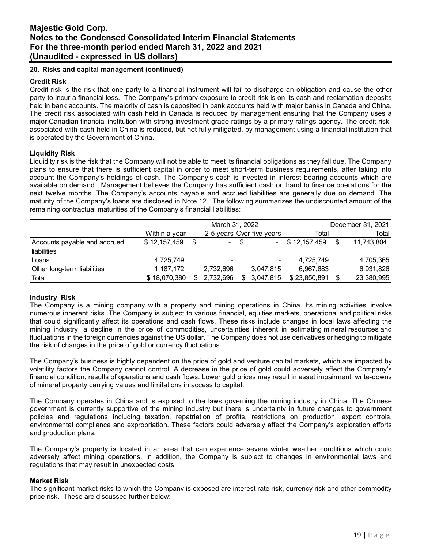### **20. Risks and capital management (continued)**

### **Credit Risk**

Credit risk is the risk that one party to a financial instrument will fail to discharge an obligation and cause the other party to incur a financial loss. The Company's primary exposure to credit risk is on its cash and reclamation deposits held in bank accounts. The majority of cash is deposited in bank accounts held with major banks in Canada and China. The credit risk associated with cash held in Canada is reduced by management ensuring that the Company uses a major Canadian financial institution with strong investment grade ratings by a primary ratings agency. The credit risk associated with cash held in China is reduced, but not fully mitigated, by management using a financial institution that is operated by the Government of China.

### **Liquidity Risk**

Liquidity risk is the risk that the Company will not be able to meet its financial obligations as they fall due. The Company plans to ensure that there is sufficient capital in order to meet short-term business requirements, after taking into account the Company's holdings of cash. The Company's cash is invested in interest bearing accounts which are available on demand. Management believes the Company has sufficient cash on hand to finance operations for the next twelve months. The Company's accounts payable and accrued liabilities are generally due on demand. The maturity of the Company's loans are disclosed in Note 12. The following summarizes the undiscounted amount of the remaining contractual maturities of the Company's financial liabilities:

|                                             |               | March 31, 2022 |                          |      |                           |              | December 31, 2021 |            |  |  |
|---------------------------------------------|---------------|----------------|--------------------------|------|---------------------------|--------------|-------------------|------------|--|--|
|                                             | Within a year |                |                          |      | 2-5 years Over five years | Total        |                   | Total      |  |  |
| Accounts payable and accrued<br>liabilities | \$12,157,459  | \$             |                          | - \$ |                           | \$12.157.459 | \$                | 11,743,804 |  |  |
| Loans                                       | 4,725,749     |                | $\overline{\phantom{0}}$ |      | ٠                         | 4,725,749    |                   | 4,705,365  |  |  |
| Other long-term liabilities                 | 1,187,172     |                | 2,732,696                |      | 3,047,815                 | 6,967,683    |                   | 6,931,826  |  |  |
| Total                                       | \$18,070,380  | S              | 2,732,696                |      | 3,047,815                 | \$23,850,891 | S                 | 23,380,995 |  |  |

#### **Industry Risk**

The Company is a mining company with a property and mining operations in China. Its mining activities involve numerous inherent risks. The Company is subject to various financial, equities markets, operational and political risks that could significantly affect its operations and cash flows. These risks include changes in local laws affecting the mining industry, a decline in the price of commodities, uncertainties inherent in estimating mineral resources and fluctuations in the foreign currencies against the US dollar. The Company does not use derivatives or hedging to mitigate the risk of changes in the price of gold or currency fluctuations.

The Company's business is highly dependent on the price of gold and venture capital markets, which are impacted by volatility factors the Company cannot control. A decrease in the price of gold could adversely affect the Company's financial condition, results of operations and cash flows. Lower gold prices may result in asset impairment, write-downs of mineral property carrying values and limitations in access to capital.

The Company operates in China and is exposed to the laws governing the mining industry in China. The Chinese government is currently supportive of the mining industry but there is uncertainty in future changes to government policies and regulations including taxation, repatriation of profits, restrictions on production, export controls, environmental compliance and expropriation. These factors could adversely affect the Company's exploration efforts and production plans.

The Company's property is located in an area that can experience severe winter weather conditions which could adversely affect mining operations. In addition, the Company is subject to changes in environmental laws and regulations that may result in unexpected costs.

#### **Market Risk**

The significant market risks to which the Company is exposed are interest rate risk, currency risk and other commodity price risk. These are discussed further below: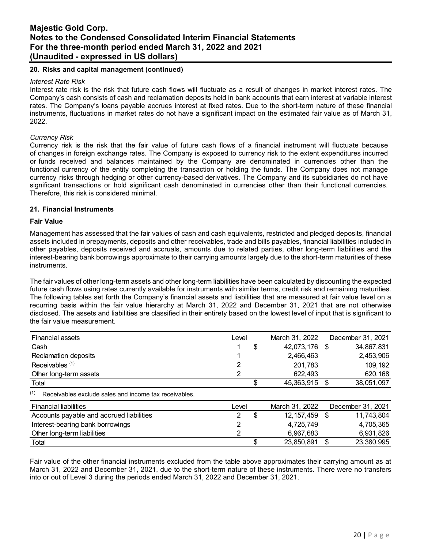# **20. Risks and capital management (continued)**

#### *Interest Rate Risk*

Interest rate risk is the risk that future cash flows will fluctuate as a result of changes in market interest rates. The Company's cash consists of cash and reclamation deposits held in bank accounts that earn interest at variable interest rates. The Company's loans payable accrues interest at fixed rates. Due to the short-term nature of these financial instruments, fluctuations in market rates do not have a significant impact on the estimated fair value as of March 31, 2022.

#### *Currency Risk*

Currency risk is the risk that the fair value of future cash flows of a financial instrument will fluctuate because of changes in foreign exchange rates. The Company is exposed to currency risk to the extent expenditures incurred or funds received and balances maintained by the Company are denominated in currencies other than the functional currency of the entity completing the transaction or holding the funds. The Company does not manage currency risks through hedging or other currency-based derivatives. The Company and its subsidiaries do not have significant transactions or hold significant cash denominated in currencies other than their functional currencies. Therefore, this risk is considered minimal.

#### **21. Financial Instruments**

#### **Fair Value**

Management has assessed that the fair values of cash and cash equivalents, restricted and pledged deposits, financial assets included in prepayments, deposits and other receivables, trade and bills payables, financial liabilities included in other payables, deposits received and accruals, amounts due to related parties, other long-term liabilities and the interest-bearing bank borrowings approximate to their carrying amounts largely due to the short-term maturities of these instruments.

The fair values of other long-term assets and other long-term liabilities have been calculated by discounting the expected future cash flows using rates currently available for instruments with similar terms, credit risk and remaining maturities. The following tables set forth the Company's financial assets and liabilities that are measured at fair value level on a recurring basis within the fair value hierarchy at March 31, 2022 and December 31, 2021 that are not otherwise disclosed. The assets and liabilities are classified in their entirety based on the lowest level of input that is significant to the fair value measurement.

| <b>Financial assets</b>                                      | Level |    | March 31, 2022 |      | December 31, 2021 |
|--------------------------------------------------------------|-------|----|----------------|------|-------------------|
| Cash                                                         |       | \$ | 42,073,176     | -\$  | 34,867,831        |
| Reclamation deposits                                         |       |    | 2,466,463      |      | 2,453,906         |
| Receivables <sup>(1)</sup>                                   |       |    | 201,783        |      | 109,192           |
| Other long-term assets                                       |       |    | 622,493        |      | 620,168           |
| Total                                                        |       | S. | 45,363,915     | - \$ | 38,051,097        |
| (1)<br>Receivables exclude sales and income tax receivables. |       |    |                |      |                   |
| <b>Financial liabilities</b>                                 | Level |    | March 31, 2022 |      | December 31, 2021 |
| Accounts payable and accrued liabilities                     | 2     | \$ | 12, 157, 459   | \$   | 11,743,804        |
| Interest-bearing bank borrowings                             | 2     |    | 4,725,749      |      | 4,705,365         |
| Other long-term liabilities                                  | 2     |    | 6,967,683      |      | 6,931,826         |
| Total                                                        |       | \$ | 23,850,891     | \$   | 23,380,995        |

Fair value of the other financial instruments excluded from the table above approximates their carrying amount as at March 31, 2022 and December 31, 2021, due to the short-term nature of these instruments. There were no transfers into or out of Level 3 during the periods ended March 31, 2022 and December 31, 2021.